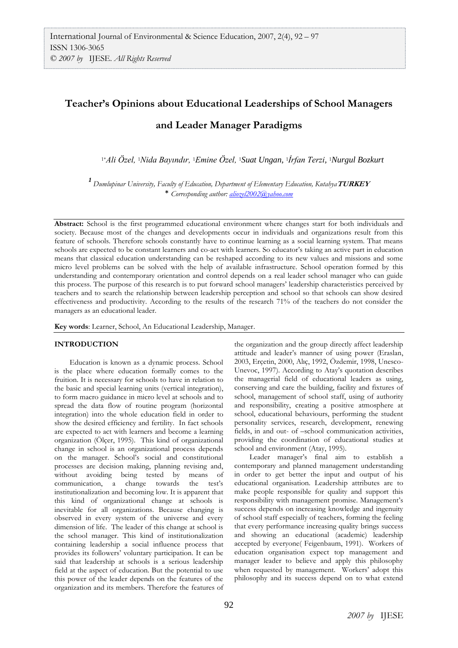# **Teacher's Opinions about Educational Leaderships of School Managers and Leader Manager Paradigms**

1\**Ali Özel,* 1*Nida Bayındır,* 1*Emine Özel,* 1*Suat Ungan,* 1*İrfan Terzi,* <sup>1</sup>*Nurgul Bozkurt*

*<sup>1</sup>Dumlupinar University, Faculty of Education, Department of Elementary Education, Kutahya***TURKEY** \* *Corresponding author: [aliozel2002@yahoo.com](mailto:aliozel2002@yahoo.com)*

**Abstract:** School is the first programmed educational environment where changes start for both individuals and society. Because most of the changes and developments occur in individuals and organizations result from this feature of schools. Therefore schools constantly have to continue learning as a social learning system. That means schools are expected to be constant learners and co-act with learners. So educator's taking an active part in education means that classical education understanding can be reshaped according to its new values and missions and some micro level problems can be solved with the help of available infrastructure. School operation formed by this understanding and contemporary orientation and control depends on a real leader school manager who can guide this process. The purpose of this research is to put forward school managers' leadership characteristics perceived by teachers and to search the relationship between leadership perception and school so that schools can show desired effectiveness and productivity. According to the results of the research 71% of the teachers do not consider the managers as an educational leader.

**Key words**: Learner, School, An Educational Leadership, Manager.

### **INTRODUCTION**

Education is known as a dynamic process. School is the place where education formally comes to the fruition. It is necessary for schools to have in relation to the basic and special learning units (vertical integration), to form macro guidance in micro level at schools and to spread the data flow of routine program (horizontal integration) into the whole education field in order to show the desired efficiency and fertility. In fact schools are expected to act with learners and become a learning organization (Ölçer, 1995). This kind of organizational change in school is an organizational process depends on the manager. School's social and constitutional processes are decision making, planning revising and, without avoiding being tested by means of communication, a change towards the test's institutionalization and becoming low. It is apparent that this kind of organizational change at schools is inevitable for all organizations. Because changing is observed in every system of the universe and every dimension of life. The leader of this change at school is the school manager. This kind of institutionalization containing leadership a social influence process that provides its followers' voluntary participation. It can be said that leadership at schools is a serious leadership field at the aspect of education. But the potential to use this power of the leader depends on the features of the organization and its members. Therefore the features of

the organization and the group directly affect leadership attitude and leader's manner of using power (Eraslan, 2003, Erçetin, 2000, Alıç, 1992, Özdemir, 1998, Unesco-Unevoc, 1997). According to Atay's quotation describes the managerial field of educational leaders as using, conserving and care the building, facility and fixtures of school, management of school staff, using of authority and responsibility, creating a positive atmosphere at school, educational behaviours, performing the student personality services, research, development, renewing fields, in and out- of –school communication activities, providing the coordination of educational studies at school and environment (Atay, 1995).

Leader manager's final aim to establish a contemporary and planned management understanding in order to get better the input and output of his educational organisation. Leadership attributes are to make people responsible for quality and support this responsibility with management promise. Management's success depends on increasing knowledge and ingenuity of school staff especially of teachers, forming the feeling that every performance increasing quality brings success and showing an educational (academic) leadership accepted by everyone( Feigenbaum, 1991). Workers of education organisation expect top management and manager leader to believe and apply this philosophy when requested by management. Workers' adopt this philosophy and its success depend on to what extend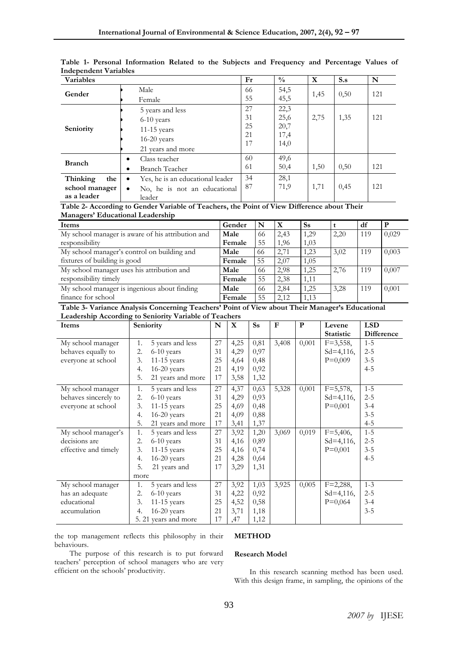| <b>Variables</b> |                                           | Fr  | $\frac{0}{0}$ | X    | $S_{\cdot}$ | N   |
|------------------|-------------------------------------------|-----|---------------|------|-------------|-----|
| Gender           | Male                                      | -66 | 54,5          | 1,45 | 0,50        | 121 |
|                  | Female                                    | 55  | 45,5          |      |             |     |
|                  | 5 years and less                          | 27  | 22,3          |      |             |     |
| Seniority        | $6-10$ years                              | 31  | 25,6          | 2,75 | 1,35        | 121 |
|                  | $11-15$ years                             | 25  | 20,7          |      |             |     |
|                  | $16-20$ years                             | 21  | 17,4          |      |             |     |
|                  |                                           | 17  | 14,0          |      |             |     |
|                  | 21 years and more                         |     |               |      |             |     |
| <b>Branch</b>    | Class teacher<br>٠                        | 60  | 49,6          |      |             |     |
|                  | <b>Branch Teacher</b>                     | 61  | 50,4          | 1,50 | 0,50        | 121 |
| Thinking<br>the  | Yes, he is an educational leader<br>٠     | 34  | 28,1          |      |             |     |
| school manager   | No, he is not an educational<br>$\bullet$ | 87  | 71,9          | 1,71 | 0,45        | 121 |
| as a leader      | leader                                    |     |               |      |             |     |

**Table 1- Personal Information Related to the Subjects and Frequency and Percentage Values of Independent Variables** 

**Table 2- According to Gender Variable of Teachers, the Point of View Difference about Their Managers' Educational Leadership**

| Items                                             | Gender |    | X    | Ss   |      | df  |       |
|---------------------------------------------------|--------|----|------|------|------|-----|-------|
| My school manager is aware of his attribution and | Male   | 66 | 2.43 | 1,29 | 2,20 | 119 | 0,029 |
| responsibility                                    | Female | 55 | 1,96 | 1,03 |      |     |       |
| My school manager's control on building and       | Male   | 66 | 2,71 | 1,23 | 3.02 | 119 | 0,003 |
| fixtures of building is good                      | Female | 55 | 2,07 | 1,05 |      |     |       |
| My school manager uses his attribution and        | Male   | 66 | 2,98 | 1,25 | 2,76 | 119 | 0,007 |
| responsibility timely                             | Female | 55 | 2,38 | 1,11 |      |     |       |
| My school manager is ingenious about finding      | Male   | 66 | 2,84 | 1,25 | 3,28 | 119 | 0,001 |
| finance for school                                | Female | 55 | 2.12 | 1.13 |      |     |       |

**Table 3- Variance Analysis Concerning Teachers' Point of View about Their Manager's Educational Leadership According to Seniority Variable of Teachers** 

| Items                | Seniority               |    | X    | <b>Ss</b> | $\mathbf{F}$ | P     | Levene           | <b>LSD</b> |
|----------------------|-------------------------|----|------|-----------|--------------|-------|------------------|------------|
|                      |                         |    |      |           |              |       | <b>Statistic</b> | Difference |
| My school manager    | 5 years and less<br>1.  | 27 | 4,25 | 0,81      | 3,408        | 0,001 | $F = 3,558,$     | $1 - 5$    |
| behaves equally to   | 2.<br>6-10 years        | 31 | 4,29 | 0,97      |              |       | $Sd=4,116,$      | $2 - 5$    |
| everyone at school   | 3.<br>$11-15$ years     | 25 | 4,64 | 0,48      |              |       | $P=0,009$        | $3 - 5$    |
|                      | $16-20$ years<br>4.     | 21 | 4,19 | 0,92      |              |       |                  | $4 - 5$    |
|                      | 5.<br>21 years and more | 17 | 3,58 | 1,32      |              |       |                  |            |
| My school manager    | 5 years and less<br>1.  | 27 | 4,37 | 0,63      | 5,328        | 0,001 | $F = 5,578$ ,    | $1 - 5$    |
| behaves sincerely to | 2.<br>6-10 years        | 31 | 4,29 | 0,93      |              |       | $Sd=4,116$ ,     | $2 - 5$    |
| everyone at school   | 3.<br>$11-15$ years     | 25 | 4,69 | 0,48      |              |       | $P=0,001$        | $3 - 4$    |
|                      | $16-20$ years<br>4.     | 21 | 4,09 | 0,88      |              |       |                  | $3 - 5$    |
|                      | 5.<br>21 years and more | 17 | 3,41 | 1,37      |              |       |                  | $4 - 5$    |
| My school manager's  | 1.<br>5 years and less  | 27 | 3,92 | 1,20      | 3,069        | 0,019 | $F=5,406,$       | $1 - 5$    |
| decisions are        | 2.<br>6-10 years        | 31 | 4,16 | 0,89      |              |       | $Sd=4,116$ ,     | $2 - 5$    |
| effective and timely | 3.<br>$11-15$ years     | 25 | 4,16 | 0,74      |              |       | $P=0,001$        | $3 - 5$    |
|                      | $16-20$ years<br>4.     | 21 | 4,28 | 0,64      |              |       |                  | $4 - 5$    |
|                      | 5.<br>21 years and      | 17 | 3,29 | 1,31      |              |       |                  |            |
|                      | more                    |    |      |           |              |       |                  |            |
| My school manager    | 5 years and less<br>1.  | 27 | 3,92 | 1,03      | 3,925        | 0,005 | $F=2,288,$       | $1 - 3$    |
| has an adequate      | 2.<br>6-10 years        | 31 | 4,22 | 0,92      |              |       | $Sd=4,116,$      | $2 - 5$    |
| educational          | 3.<br>11-15 years       | 25 | 4,52 | 0,58      |              |       | $P=0,064$        | $3 - 4$    |
| accumulation         | $16-20$ years<br>4.     | 21 | 3,71 | 1,18      |              |       |                  | $3 - 5$    |
|                      | 5. 21 years and more    | 17 | ,47  | 1,12      |              |       |                  |            |

the top management reflects this philosophy in their behaviours.

# **METHOD**

The purpose of this research is to put forward teachers' perception of school managers who are very efficient on the schools' productivity.

# **Research Model**

In this research scanning method has been used. With this design frame, in sampling, the opinions of the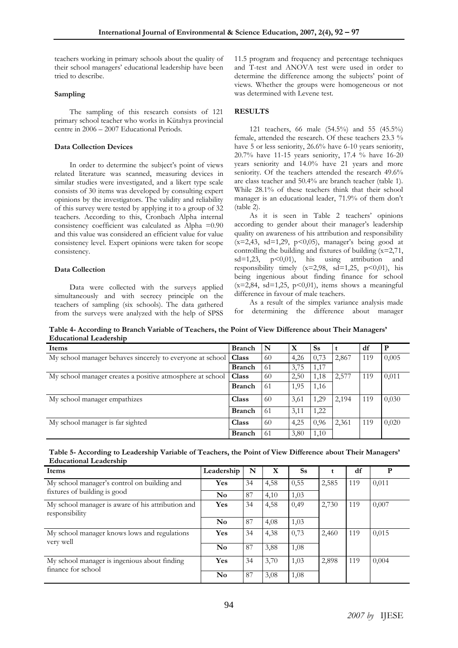teachers working in primary schools about the quality of their school managers' educational leadership have been tried to describe.

#### **Sampling**

The sampling of this research consists of 121 primary school teacher who works in Kütahya provincial centre in 2006 – 2007 Educational Periods.

### **Data Collection Devices**

In order to determine the subject's point of views related literature was scanned, measuring devices in similar studies were investigated, and a likert type scale consists of 30 items was developed by consulting expert opinions by the investigators. The validity and reliability of this survey were tested by applying it to a group of 32 teachers. According to this, Cronbach Alpha internal consistency coefficient was calculated as Alpha =0.90 and this value was considered an efficient value for value consistency level. Expert opinions were taken for scope consistency.

### **Data Collection**

Data were collected with the surveys applied simultaneously and with secrecy principle on the teachers of sampling (six schools). The data gathered from the surveys were analyzed with the help of SPSS

11.5 program and frequency and percentage techniques and T-test and ANOVA test were used in order to determine the difference among the subjects' point of views. Whether the groups were homogeneous or not was determined with Levene test.

# **RESULTS**

121 teachers, 66 male (54.5%) and 55 (45.5%) female, attended the research. Of these teachers 23.3 % have 5 or less seniority, 26.6% have 6-10 years seniority, 20.7% have 11-15 years seniority, 17.4 % have 16-20 years seniority and 14.0% have 21 years and more seniority. Of the teachers attended the research 49.6% are class teacher and 50.4% are branch teacher (table 1). While 28.1% of these teachers think that their school manager is an educational leader, 71.9% of them don't (table 2).

As it is seen in Table 2 teachers' opinions according to gender about their manager's leadership quality on awareness of his attribution and responsibility  $(x=2,43, sd=1,29, p<0,05)$ , manager's being good at controlling the building and fixtures of building  $(x=2,71)$ ,  $sd=1,23$ ,  $p<0,01$ , his using attribution and responsibility timely  $(x=2,98, sd=1,25, p<0,01)$ , his being ingenious about finding finance for school  $(x=2,84, sd=1,25, p<0,01)$ , items shows a meaningful difference in favour of male teachers.

As a result of the simplex variance analysis made for determining the difference about manager

**Table 4- According to Branch Variable of Teachers, the Point of View Difference about Their Managers' Educational Leadership**

| Items                                                     | <b>Branch</b> | N   | X    | <b>Ss</b> |       | df  | P     |
|-----------------------------------------------------------|---------------|-----|------|-----------|-------|-----|-------|
| My school manager behaves sincerely to everyone at school | Class         | 60  | 4.26 | 0,73      | 2,867 | 119 | 0,005 |
|                                                           | <b>Branch</b> | 61  | 3,75 | 1,17      |       |     |       |
| My school manager creates a positive atmosphere at school | <b>Class</b>  | 60  | 2,50 | 1,18      | 2,577 | 119 | 0,011 |
|                                                           | <b>Branch</b> | -61 | 1.95 | 1,16      |       |     |       |
| My school manager empathizes                              | <b>Class</b>  | 60  | 3,61 | 1,29      | 2,194 | 119 | 0,030 |
|                                                           | <b>Branch</b> | -61 | 3,11 | 1,22      |       |     |       |
| My school manager is far sighted                          | <b>Class</b>  | 60  | 4,25 | 0,96      | 2,361 | 119 | 0,020 |
|                                                           | <b>Branch</b> | -61 | 3,80 | 1,10      |       |     |       |

# **Table 5- According to Leadership Variable of Teachers, the Point of View Difference about Their Managers' Educational Leadership**

| Items                                                               | Leadership     | N  | X    | <b>Ss</b> |       | df  | P     |
|---------------------------------------------------------------------|----------------|----|------|-----------|-------|-----|-------|
| My school manager's control on building and                         | Yes            | 34 | 4,58 | 0,55      | 2,585 | 119 | 0,011 |
| fixtures of building is good                                        | N <sub>0</sub> | 87 | 4,10 | 1,03      |       |     |       |
| My school manager is aware of his attribution and<br>responsibility | Yes            | 34 | 4,58 | 0,49      | 2,730 | 119 | 0,007 |
|                                                                     | N <sub>0</sub> | 87 | 4,08 | 1,03      |       |     |       |
| My school manager knows lows and regulations<br>very well           | Yes            | 34 | 4,38 | 0,73      | 2,460 | 119 | 0,015 |
|                                                                     | N <sub>0</sub> | 87 | 3,88 | 1,08      |       |     |       |
| My school manager is ingenious about finding<br>finance for school  | Yes            | 34 | 3,70 | 1,03      | 2,898 | 119 | 0,004 |
|                                                                     | N <sub>0</sub> | 87 | 3,08 | 1,08      |       |     |       |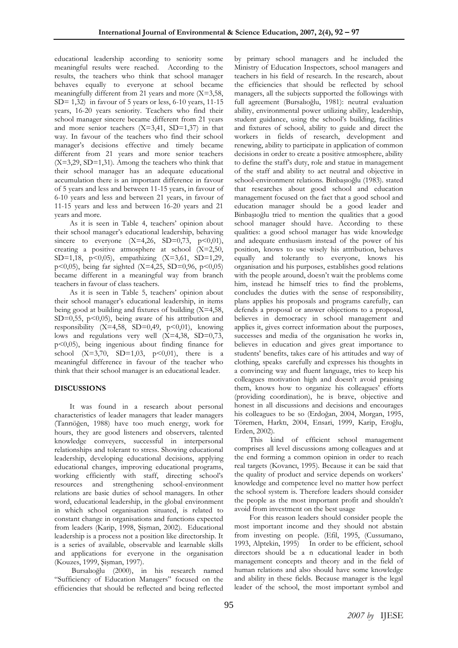educational leadership according to seniority some meaningful results were reached. According to the results, the teachers who think that school manager behaves equally to everyone at school became meaningfully different from 21 years and more (X=3,58, SD= 1,32) in favour of 5 years or less, 6-10 years, 11-15 years, 16-20 years seniority. Teachers who find their school manager sincere became different from 21 years and more senior teachers (X=3,41, SD=1,37) in that way. In favour of the teachers who find their school manager's decisions effective and timely became different from 21 years and more senior teachers (X=3,29, SD=1,31). Among the teachers who think that their school manager has an adequate educational accumulation there is an important difference in favour of 5 years and less and between 11-15 years, in favour of 6-10 years and less and between 21 years, in favour of 11-15 years and less and between 16-20 years and 21 years and more.

As it is seen in Table 4, teachers' opinion about their school manager's educational leadership, behaving sincere to everyone  $(X=4,26, SD=0,73, p<0,01)$ , creating a positive atmosphere at school  $(X=2,50,$ SD=1,18, p<0,05), empathizing (X=3,61, SD=1,29, p<0,05), being far sighted  $(X=4,25, SD=0,96, p<0,05)$ became different in a meaningful way from branch teachers in favour of class teachers.

As it is seen in Table 5, teachers' opinion about their school manager's educational leadership, in items being good at building and fixtures of building (X=4,58, SD=0,55,  $p<0,05$ , being aware of his attribution and responsibility  $(X=4,58, SD=0,49, p<0,01)$ , knowing lows and regulations very well (X=4,38, SD=0,73, p<0,05), being ingenious about finding finance for school  $(X=3,70, SD=1,03, p<0,01)$ , there is a meaningful difference in favour of the teacher who think that their school manager is an educational leader.

#### **DISCUSSIONS**

It was found in a research about personal characteristics of leader managers that leader managers (Tanrıöğen, 1988) have too much energy, work for hours, they are good listeners and observers, talented knowledge conveyers, successful in interpersonal relationships and tolerant to stress. Showing educational leadership, developing educational decisions, applying educational changes, improving educational programs, working efficiently with staff, directing school's resources and strengthening school-environment relations are basic duties of school managers. In other word, educational leadership, in the global environment in which school organisation situated, is related to constant change in organisations and functions expected from leaders (Karip, 1998, Şişman, 2002). Educational leadership is a process not a position like directorship. It is a series of available, observable and learnable skills and applications for everyone in the organisation (Kouzes, 1999, Şişman, 1997).

Bursalıoğlu (2000), in his research named "Sufficiency of Education Managers" focused on the efficiencies that should be reflected and being reflected by primary school managers and he included the Ministry of Education Inspectors, school managers and teachers in his field of research. In the research, about the efficiencies that should be reflected by school managers, all the subjects supported the followings with full agreement (Bursalıoğlu, 1981): neutral evaluation ability, environmental power utilizing ability, leadership, student guidance, using the school's building, facilities and fixtures of school, ability to guide and direct the workers in fields of research, development and renewing, ability to participate in application of common decisions in order to create a positive atmosphere, ability to define the staff's duty, role and statue in management of the staff and ability to act neutral and objective in school-environment relations. Binbaşıoğlu (1983). stated that researches about good school and education management focused on the fact that a good school and education manager should be a good leader and Binbaşıoğlu tried to mention the qualities that a good school manager should have. According to these qualities: a good school manager has wide knowledge and adequate enthusiasm instead of the power of his position, knows to use wisely his attribution, behaves equally and tolerantly to everyone, knows his organisation and his purposes, establishes good relations with the people around, doesn't wait the problems come him, instead he himself tries to find the problems, concludes the duties with the sense of responsibility, plans applies his proposals and programs carefully, can defends a proposal or answer objections to a proposal, believes in democracy in school management and applies it, gives correct information about the purposes, successes and media of the organisation he works in, believes in education and gives great importance to students' benefits, takes care of his attitudes and way of clothing, speaks carefully and expresses his thoughts in a convincing way and fluent language, tries to keep his colleagues motivation high and doesn't avoid praising them, knows how to organize his colleagues' efforts (providing coordination), he is brave, objective and honest in all discussions and decisions and encourages his colleagues to be so (Erdoğan, 2004, Morgan, 1995, Töremen, Harktı, 2004, Ensari, 1999, Karip, Eroğlu, Erden, 2002).

This kind of efficient school management comprises all level discussions among colleagues and at the end forming a common opinion in order to reach real targets (Kovancı, 1995). Because it can be said that the quality of product and service depends on workers' knowledge and competence level no matter how perfect the school system is. Therefore leaders should consider the people as the most important profit and shouldn't avoid from investment on the best usage

For this reason leaders should consider people the most important income and they should not abstain from investing on people. (Efil, 1995, (Cussumano, 1993, Alptekin, 1995) In order to be efficient, school directors should be a n educational leader in both management concepts and theory and in the field of human relations and also should have some knowledge and ability in these fields. Because manager is the legal leader of the school, the most important symbol and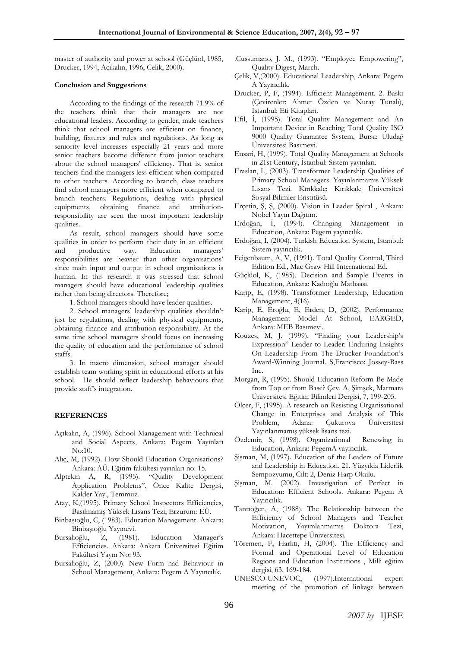master of authority and power at school (Güçlüol, 1985, Drucker, 1994, Açıkalın, 1996, Çelik, 2000).

#### **Conclusion and Suggestions**

According to the findings of the research 71.9% of the teachers think that their managers are not educational leaders. According to gender, male teachers think that school managers are efficient on finance, building, fixtures and rules and regulations. As long as seniority level increases especially 21 years and more senior teachers become different from junior teachers about the school managers' efficiency. That is, senior teachers find the managers less efficient when compared to other teachers. According to branch, class teachers find school managers more efficient when compared to branch teachers. Regulations, dealing with physical equipments, obtaining finance and attributionresponsibility are seen the most important leadership qualities.

As result, school managers should have some qualities in order to perform their duty in an efficient and productive way. Education managers' responsibilities are heavier than other organisations' since main input and output in school organisations is human. In this research it was stressed that school managers should have educational leadership qualities rather than being directors. Therefore;

1. School managers should have leader qualities.

2. School managers' leadership qualities shouldn't just be regulations, dealing with physical equipments, obtaining finance and attribution-responsibility. At the same time school managers should focus on increasing the quality of education and the performance of school staffs.

3. In macro dimension, school manager should establish team working spirit in educational efforts at his school. He should reflect leadership behaviours that provide staff's integration.

#### **REFERENCES**

- Açıkalın, A, (1996). School Management with Technical and Social Aspects, Ankara: Pegem Yayınları No:10.
- Alıç, M, (1992). How Should Education Organisations? Ankara: AÜ. Eğitim fakültesi yayınları no: 15.
- Alptekin A, R, (1995). "Quality Development Application Problems", Önce Kalite Dergisi, Kalder Yay., Temmuz.
- Atay, K,(1995). Primary School Inspectors Efficiencies, Basılmamış Yüksek Lisans Tezi, Erzurum: EÜ.
- Binbaşıoğlu, C, (1983). Education Management. Ankara: Binbaşıoğlu Yayınevi.
- Bursalıoğlu, Z, (1981). Education Manager's Efficiencies. Ankara: Ankara Üniversitesi Eğitim Fakültesi Yayın No: 93.
- Bursalıoğlu, Z, (2000). New Form nad Behaviour in School Management, Ankara: Pegem A Yayıncılık.
- .Cussumano, J, M., (1993). "Employee Empowering", Quality Digest, March.
- Çelik, V,(2000). Educational Leadership, Ankara: Pegem A Yayıncılık.
- Drucker, P, F, (1994). Efficient Management. 2. Baskı (Çevirenler: Ahmet Özden ve Nuray Tunalı), İstanbul: Eti Kitapları.
- Efil, İ, (1995). Total Quality Management and An Important Device in Reaching Total Quality ISO 9000 Quality Guarantee System, Bursa: Uludağ Üniversitesi Basımevi.
- Ensari, H, (1999). Total Quality Management at Schools in 21st Century, İstanbul: Sistem yayınları.
- Eraslan, L, (2003). Transformer Leadership Qualities of Primary School Managers. Yayınlanmamıs Yüksek Lisans Tezi. Kırıkkale: Kırıkkale Üniversitesi Sosyal Bilimler Enstitüsü.
- Erçetin, Ş, Ş, (2000). Vision in Leader Spiral , Ankara: Nobel Yayın Dağıtım.
- Erdoğan, İ, (1994). Changing Management in Education, Ankara: Pegem yayıncılık.
- Erdoğan, İ, (2004). Turkish Education System, İstanbul: Sistem yayıncılık.
- Feigenbaum, A, V, (1991). Total Quality Control, Third Edition Ed., Mac Graw Hill International Ed.
- Güçlüol, K, (1985). Decision and Sample Events in Education, Ankara: Kadıoğlu Matbaası.
- Karip, E, (1998). Transformer Leadership, Education Management, 4(16).
- Karip, E, Eroğlu, E, Erden, D, (2002). Performance Management Model At School, EARGED, Ankara: MEB Basımevi.
- Kouzes, M, J, (1999). "Finding your Leadership's Expression" Leader to Leader: Enduring Insights On Leadership From The Drucker Foundation's Award-Winning Journal. S,Francisco: Jossey-Bass Inc.
- Morgan, R, (1995). Should Education Reform Be Made from Top or from Base? Çev. A, Şimşek, Marmara Üniversitesi Eğitim Bilimleri Dergisi, 7, 199-205.
- Ölçer, F, (1995). A research on Resisting Organisational Change in Enterprises and Analysis of This Problem, Adana: Çukurova Üniversitesi Yayınlanmamış yüksek lisans tezi.
- Özdemir, S, (1998). Organizational Renewing in Education, Ankara: PegemA yayıncılık.
- Şişman, M, (1997). Education of the Leaders of Future and Leadership in Education, 21. Yüzyılda Liderlik Sempozyumu, Cilt: 2, Deniz Harp Okulu.
- Şişman, M. (2002). Investigation of Perfect in Education: Efficient Schools. Ankara: Pegem A Yayıncılık.
- Tanrıöğen, A, (1988). The Relationship between the Efficiency of School Managers and Teacher Motivation, Yayımlanmamış Doktora Tezi, Ankara: Hacettepe Üniversitesi.
- Töremen, F, Harktı, H, (2004). The Efficiency and Formal and Operational Level of Education Regions and Education Institutions , Milli eğitim dergisi, 63, 169-184.
- UNESCO-UNEVOC, (1997).International expert meeting of the promotion of linkage between